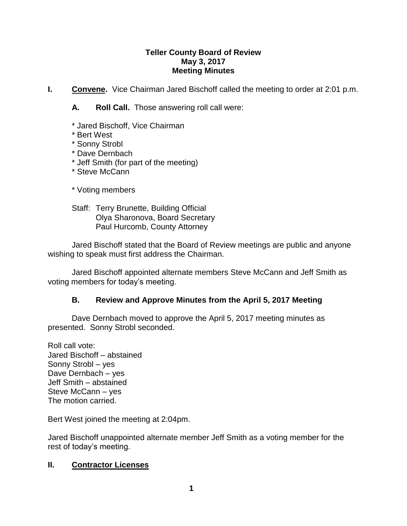#### **Teller County Board of Review May 3, 2017 Meeting Minutes**

**I.** Convene. Vice Chairman Jared Bischoff called the meeting to order at 2:01 p.m.

**A. Roll Call.** Those answering roll call were:

- \* Jared Bischoff, Vice Chairman
- \* Bert West
- \* Sonny Strobl
- \* Dave Dernbach
- \* Jeff Smith (for part of the meeting)
- \* Steve McCann
- \* Voting members
- Staff: Terry Brunette, Building Official Olya Sharonova, Board Secretary Paul Hurcomb, County Attorney

Jared Bischoff stated that the Board of Review meetings are public and anyone wishing to speak must first address the Chairman.

Jared Bischoff appointed alternate members Steve McCann and Jeff Smith as voting members for today's meeting.

## **B. Review and Approve Minutes from the April 5, 2017 Meeting**

Dave Dernbach moved to approve the April 5, 2017 meeting minutes as presented. Sonny Strobl seconded.

Roll call vote: Jared Bischoff – abstained Sonny Strobl – yes Dave Dernbach – yes Jeff Smith – abstained Steve McCann – yes The motion carried.

Bert West joined the meeting at 2:04pm.

Jared Bischoff unappointed alternate member Jeff Smith as a voting member for the rest of today's meeting.

## **II. Contractor Licenses**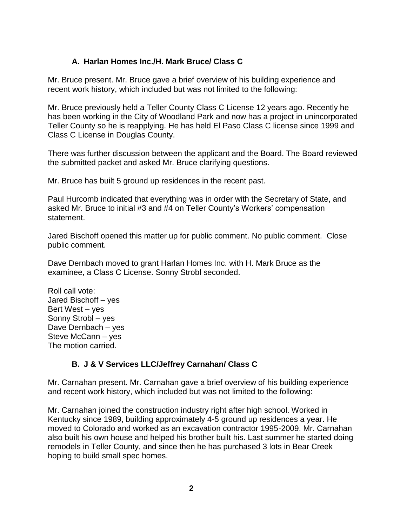## **A. Harlan Homes Inc./H. Mark Bruce/ Class C**

Mr. Bruce present. Mr. Bruce gave a brief overview of his building experience and recent work history, which included but was not limited to the following:

Mr. Bruce previously held a Teller County Class C License 12 years ago. Recently he has been working in the City of Woodland Park and now has a project in unincorporated Teller County so he is reapplying. He has held El Paso Class C license since 1999 and Class C License in Douglas County.

There was further discussion between the applicant and the Board. The Board reviewed the submitted packet and asked Mr. Bruce clarifying questions.

Mr. Bruce has built 5 ground up residences in the recent past.

Paul Hurcomb indicated that everything was in order with the Secretary of State, and asked Mr. Bruce to initial #3 and #4 on Teller County's Workers' compensation statement.

Jared Bischoff opened this matter up for public comment. No public comment. Close public comment.

Dave Dernbach moved to grant Harlan Homes Inc. with H. Mark Bruce as the examinee, a Class C License. Sonny Strobl seconded.

Roll call vote: Jared Bischoff – yes Bert West – yes Sonny Strobl – yes Dave Dernbach – yes Steve McCann – yes The motion carried.

# **B. J & V Services LLC/Jeffrey Carnahan/ Class C**

Mr. Carnahan present. Mr. Carnahan gave a brief overview of his building experience and recent work history, which included but was not limited to the following:

Mr. Carnahan joined the construction industry right after high school. Worked in Kentucky since 1989, building approximately 4-5 ground up residences a year. He moved to Colorado and worked as an excavation contractor 1995-2009. Mr. Carnahan also built his own house and helped his brother built his. Last summer he started doing remodels in Teller County, and since then he has purchased 3 lots in Bear Creek hoping to build small spec homes.